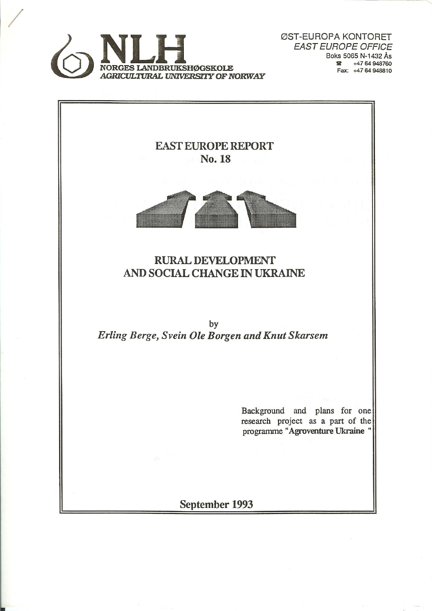

ØST-EUROPA KONTORET **EAST EUROPE OFFICE** Boks 5065 N-1432 Ås  $\bullet$  +47 64 948760 Fax: +47 64 948810

**EAST EUROPE REPORT** No. 18



**RURAL DEVELOPMENT** AND SOCIAL CHANGE IN UKRAINE

by Erling Berge, Svein Ole Borgen and Knut Skarsem

> Background and plans for one research project as a part of the programme "Agroventure Ukraine"

September 1993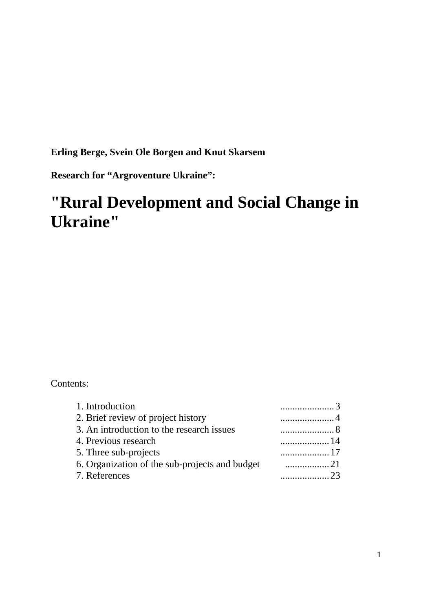**Erling Berge, Svein Ole Borgen and Knut Skarsem** 

**Research for "Argroventure Ukraine":** 

# **"Rural Development and Social Change in Ukraine"**

#### Contents:

| 1. Introduction                                | . |
|------------------------------------------------|---|
| 2. Brief review of project history             | . |
| 3. An introduction to the research issues      | . |
| 4. Previous research                           | . |
| 5. Three sub-projects                          | . |
| 6. Organization of the sub-projects and budget |   |
| 7. References                                  |   |
|                                                |   |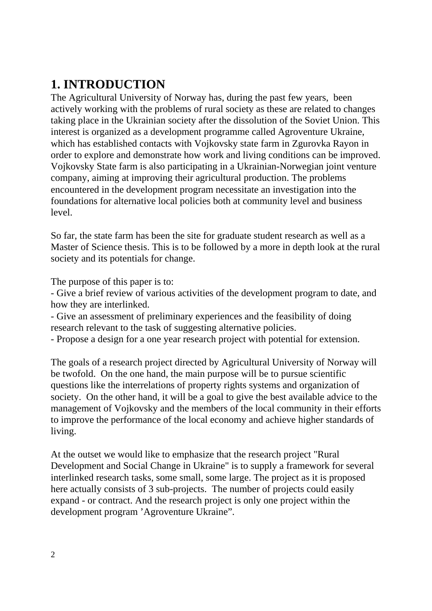## **1. INTRODUCTION**

The Agricultural University of Norway has, during the past few years, been actively working with the problems of rural society as these are related to changes taking place in the Ukrainian society after the dissolution of the Soviet Union. This interest is organized as a development programme called Agroventure Ukraine, which has established contacts with Vojkovsky state farm in Zgurovka Rayon in order to explore and demonstrate how work and living conditions can be improved. Vojkovsky State farm is also participating in a Ukrainian-Norwegian joint venture company, aiming at improving their agricultural production. The problems encountered in the development program necessitate an investigation into the foundations for alternative local policies both at community level and business level.

So far, the state farm has been the site for graduate student research as well as a Master of Science thesis. This is to be followed by a more in depth look at the rural society and its potentials for change.

The purpose of this paper is to:

- Give a brief review of various activities of the development program to date, and how they are interlinked.

- Give an assessment of preliminary experiences and the feasibility of doing research relevant to the task of suggesting alternative policies.

- Propose a design for a one year research project with potential for extension.

The goals of a research project directed by Agricultural University of Norway will be twofold. On the one hand, the main purpose will be to pursue scientific questions like the interrelations of property rights systems and organization of society. On the other hand, it will be a goal to give the best available advice to the management of Vojkovsky and the members of the local community in their efforts to improve the performance of the local economy and achieve higher standards of living.

At the outset we would like to emphasize that the research project "Rural Development and Social Change in Ukraine" is to supply a framework for several interlinked research tasks, some small, some large. The project as it is proposed here actually consists of 3 sub-projects. The number of projects could easily expand - or contract. And the research project is only one project within the development program 'Agroventure Ukraine".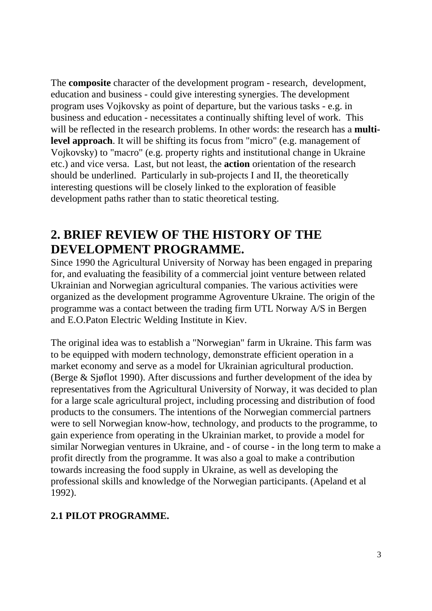The **composite** character of the development program - research, development, education and business - could give interesting synergies. The development program uses Vojkovsky as point of departure, but the various tasks - e.g. in business and education - necessitates a continually shifting level of work. This will be reflected in the research problems. In other words: the research has a **multilevel approach**. It will be shifting its focus from "micro" (e.g. management of Vojkovsky) to "macro" (e.g. property rights and institutional change in Ukraine etc.) and vice versa. Last, but not least, the **action** orientation of the research should be underlined. Particularly in sub-projects I and II, the theoretically interesting questions will be closely linked to the exploration of feasible development paths rather than to static theoretical testing.

## **2. BRIEF REVIEW OF THE HISTORY OF THE DEVELOPMENT PROGRAMME.**

Since 1990 the Agricultural University of Norway has been engaged in preparing for, and evaluating the feasibility of a commercial joint venture between related Ukrainian and Norwegian agricultural companies. The various activities were organized as the development programme Agroventure Ukraine. The origin of the programme was a contact between the trading firm UTL Norway A/S in Bergen and E.O.Paton Electric Welding Institute in Kiev.

The original idea was to establish a "Norwegian" farm in Ukraine. This farm was to be equipped with modern technology, demonstrate efficient operation in a market economy and serve as a model for Ukrainian agricultural production. (Berge & Sjøflot 1990). After discussions and further development of the idea by representatives from the Agricultural University of Norway, it was decided to plan for a large scale agricultural project, including processing and distribution of food products to the consumers. The intentions of the Norwegian commercial partners were to sell Norwegian know-how, technology, and products to the programme, to gain experience from operating in the Ukrainian market, to provide a model for similar Norwegian ventures in Ukraine, and - of course - in the long term to make a profit directly from the programme. It was also a goal to make a contribution towards increasing the food supply in Ukraine, as well as developing the professional skills and knowledge of the Norwegian participants. (Apeland et al 1992).

## **2.1 PILOT PROGRAMME.**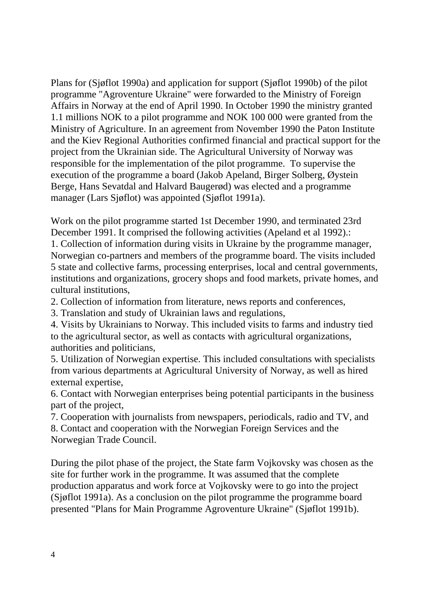Plans for (Sjøflot 1990a) and application for support (Sjøflot 1990b) of the pilot programme "Agroventure Ukraine" were forwarded to the Ministry of Foreign Affairs in Norway at the end of April 1990. In October 1990 the ministry granted 1.1 millions NOK to a pilot programme and NOK 100 000 were granted from the Ministry of Agriculture. In an agreement from November 1990 the Paton Institute and the Kiev Regional Authorities confirmed financial and practical support for the project from the Ukrainian side. The Agricultural University of Norway was responsible for the implementation of the pilot programme. To supervise the execution of the programme a board (Jakob Apeland, Birger Solberg, Øystein Berge, Hans Sevatdal and Halvard Baugerød) was elected and a programme manager (Lars Sjøflot) was appointed (Sjøflot 1991a).

Work on the pilot programme started 1st December 1990, and terminated 23rd December 1991. It comprised the following activities (Apeland et al 1992).:

1. Collection of information during visits in Ukraine by the programme manager, Norwegian co-partners and members of the programme board. The visits included 5 state and collective farms, processing enterprises, local and central governments, institutions and organizations, grocery shops and food markets, private homes, and cultural institutions,

2. Collection of information from literature, news reports and conferences,

3. Translation and study of Ukrainian laws and regulations,

4. Visits by Ukrainians to Norway. This included visits to farms and industry tied to the agricultural sector, as well as contacts with agricultural organizations, authorities and politicians,

5. Utilization of Norwegian expertise. This included consultations with specialists from various departments at Agricultural University of Norway, as well as hired external expertise,

6. Contact with Norwegian enterprises being potential participants in the business part of the project,

7. Cooperation with journalists from newspapers, periodicals, radio and TV, and 8. Contact and cooperation with the Norwegian Foreign Services and the Norwegian Trade Council.

During the pilot phase of the project, the State farm Vojkovsky was chosen as the site for further work in the programme. It was assumed that the complete production apparatus and work force at Vojkovsky were to go into the project (Sjøflot 1991a). As a conclusion on the pilot programme the programme board presented "Plans for Main Programme Agroventure Ukraine" (Sjøflot 1991b).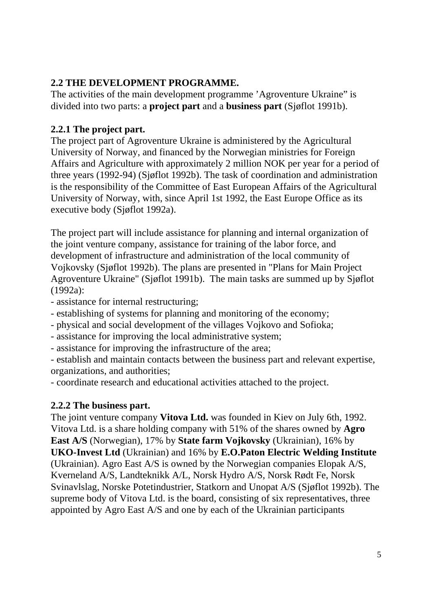## **2.2 THE DEVELOPMENT PROGRAMME.**

The activities of the main development programme 'Agroventure Ukraine" is divided into two parts: a **project part** and a **business part** (Sjøflot 1991b).

### **2.2.1 The project part.**

The project part of Agroventure Ukraine is administered by the Agricultural University of Norway, and financed by the Norwegian ministries for Foreign Affairs and Agriculture with approximately 2 million NOK per year for a period of three years (1992-94) (Sjøflot 1992b). The task of coordination and administration is the responsibility of the Committee of East European Affairs of the Agricultural University of Norway, with, since April 1st 1992, the East Europe Office as its executive body (Sjøflot 1992a).

The project part will include assistance for planning and internal organization of the joint venture company, assistance for training of the labor force, and development of infrastructure and administration of the local community of Vojkovsky (Sjøflot 1992b). The plans are presented in "Plans for Main Project Agroventure Ukraine" (Sjøflot 1991b). The main tasks are summed up by Sjøflot (1992a):

- assistance for internal restructuring;
- establishing of systems for planning and monitoring of the economy;
- physical and social development of the villages Vojkovo and Sofioka;
- assistance for improving the local administrative system;
- assistance for improving the infrastructure of the area;

- establish and maintain contacts between the business part and relevant expertise, organizations, and authorities;

- coordinate research and educational activities attached to the project.

#### **2.2.2 The business part.**

The joint venture company **Vitova Ltd.** was founded in Kiev on July 6th, 1992. Vitova Ltd. is a share holding company with 51% of the shares owned by **Agro East A/S** (Norwegian), 17% by **State farm Vojkovsky** (Ukrainian), 16% by **UKO-Invest Ltd** (Ukrainian) and 16% by **E.O.Paton Electric Welding Institute** (Ukrainian). Agro East A/S is owned by the Norwegian companies Elopak A/S, Kverneland A/S, Landteknikk A/L, Norsk Hydro A/S, Norsk Rødt Fe, Norsk Svinavlslag, Norske Potetindustrier, Statkorn and Unopat A/S (Sjøflot 1992b). The supreme body of Vitova Ltd. is the board, consisting of six representatives, three appointed by Agro East A/S and one by each of the Ukrainian participants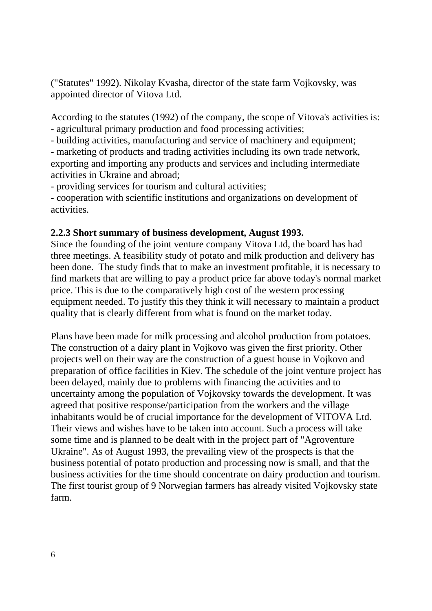("Statutes" 1992). Nikolay Kvasha, director of the state farm Vojkovsky, was appointed director of Vitova Ltd.

According to the statutes (1992) of the company, the scope of Vitova's activities is: - agricultural primary production and food processing activities;

- building activities, manufacturing and service of machinery and equipment;

- marketing of products and trading activities including its own trade network, exporting and importing any products and services and including intermediate activities in Ukraine and abroad;

- providing services for tourism and cultural activities;

- cooperation with scientific institutions and organizations on development of activities.

#### **2.2.3 Short summary of business development, August 1993.**

Since the founding of the joint venture company Vitova Ltd, the board has had three meetings. A feasibility study of potato and milk production and delivery has been done. The study finds that to make an investment profitable, it is necessary to find markets that are willing to pay a product price far above today's normal market price. This is due to the comparatively high cost of the western processing equipment needed. To justify this they think it will necessary to maintain a product quality that is clearly different from what is found on the market today.

Plans have been made for milk processing and alcohol production from potatoes. The construction of a dairy plant in Vojkovo was given the first priority. Other projects well on their way are the construction of a guest house in Vojkovo and preparation of office facilities in Kiev. The schedule of the joint venture project has been delayed, mainly due to problems with financing the activities and to uncertainty among the population of Vojkovsky towards the development. It was agreed that positive response/participation from the workers and the village inhabitants would be of crucial importance for the development of VITOVA Ltd. Their views and wishes have to be taken into account. Such a process will take some time and is planned to be dealt with in the project part of "Agroventure Ukraine". As of August 1993, the prevailing view of the prospects is that the business potential of potato production and processing now is small, and that the business activities for the time should concentrate on dairy production and tourism. The first tourist group of 9 Norwegian farmers has already visited Vojkovsky state farm.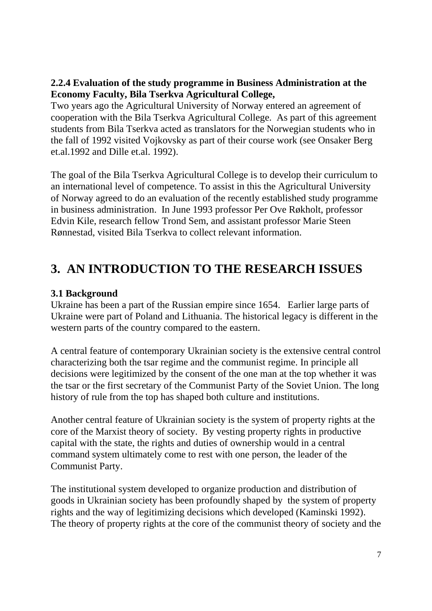#### **2.2.4 Evaluation of the study programme in Business Administration at the Economy Faculty, Bila Tserkva Agricultural College,**

Two years ago the Agricultural University of Norway entered an agreement of cooperation with the Bila Tserkva Agricultural College. As part of this agreement students from Bila Tserkva acted as translators for the Norwegian students who in the fall of 1992 visited Vojkovsky as part of their course work (see Onsaker Berg et.al.1992 and Dille et.al. 1992).

The goal of the Bila Tserkva Agricultural College is to develop their curriculum to an international level of competence. To assist in this the Agricultural University of Norway agreed to do an evaluation of the recently established study programme in business administration. In June 1993 professor Per Ove Røkholt, professor Edvin Kile, research fellow Trond Sem, and assistant professor Marie Steen Rønnestad, visited Bila Tserkva to collect relevant information.

## **3. AN INTRODUCTION TO THE RESEARCH ISSUES**

#### **3.1 Background**

Ukraine has been a part of the Russian empire since 1654. Earlier large parts of Ukraine were part of Poland and Lithuania. The historical legacy is different in the western parts of the country compared to the eastern.

A central feature of contemporary Ukrainian society is the extensive central control characterizing both the tsar regime and the communist regime. In principle all decisions were legitimized by the consent of the one man at the top whether it was the tsar or the first secretary of the Communist Party of the Soviet Union. The long history of rule from the top has shaped both culture and institutions.

Another central feature of Ukrainian society is the system of property rights at the core of the Marxist theory of society. By vesting property rights in productive capital with the state, the rights and duties of ownership would in a central command system ultimately come to rest with one person, the leader of the Communist Party.

The institutional system developed to organize production and distribution of goods in Ukrainian society has been profoundly shaped by the system of property rights and the way of legitimizing decisions which developed (Kaminski 1992). The theory of property rights at the core of the communist theory of society and the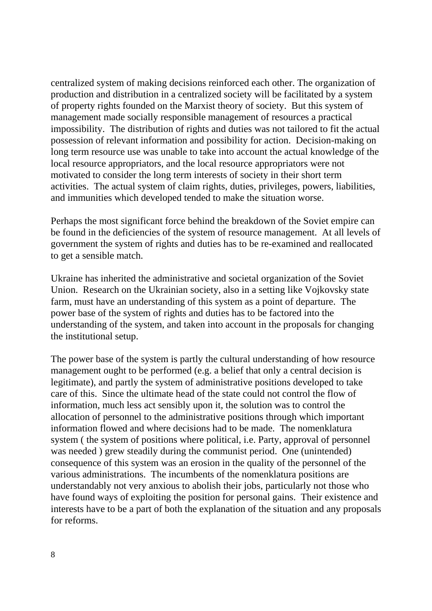centralized system of making decisions reinforced each other. The organization of production and distribution in a centralized society will be facilitated by a system of property rights founded on the Marxist theory of society. But this system of management made socially responsible management of resources a practical impossibility. The distribution of rights and duties was not tailored to fit the actual possession of relevant information and possibility for action. Decision-making on long term resource use was unable to take into account the actual knowledge of the local resource appropriators, and the local resource appropriators were not motivated to consider the long term interests of society in their short term activities. The actual system of claim rights, duties, privileges, powers, liabilities, and immunities which developed tended to make the situation worse.

Perhaps the most significant force behind the breakdown of the Soviet empire can be found in the deficiencies of the system of resource management. At all levels of government the system of rights and duties has to be re-examined and reallocated to get a sensible match.

Ukraine has inherited the administrative and societal organization of the Soviet Union. Research on the Ukrainian society, also in a setting like Vojkovsky state farm, must have an understanding of this system as a point of departure. The power base of the system of rights and duties has to be factored into the understanding of the system, and taken into account in the proposals for changing the institutional setup.

The power base of the system is partly the cultural understanding of how resource management ought to be performed (e.g. a belief that only a central decision is legitimate), and partly the system of administrative positions developed to take care of this. Since the ultimate head of the state could not control the flow of information, much less act sensibly upon it, the solution was to control the allocation of personnel to the administrative positions through which important information flowed and where decisions had to be made. The nomenklatura system ( the system of positions where political, i.e. Party, approval of personnel was needed ) grew steadily during the communist period. One (unintended) consequence of this system was an erosion in the quality of the personnel of the various administrations. The incumbents of the nomenklatura positions are understandably not very anxious to abolish their jobs, particularly not those who have found ways of exploiting the position for personal gains. Their existence and interests have to be a part of both the explanation of the situation and any proposals for reforms.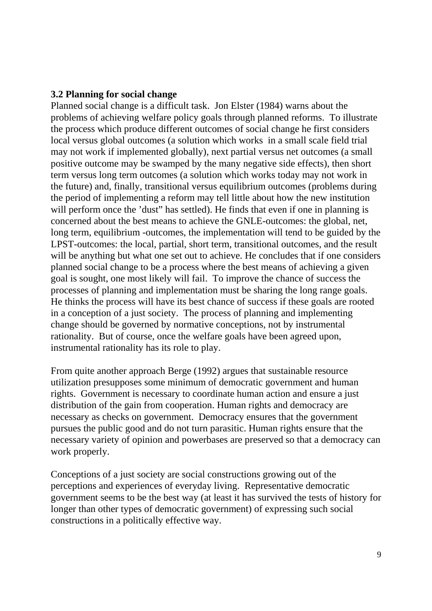#### **3.2 Planning for social change**

Planned social change is a difficult task. Jon Elster (1984) warns about the problems of achieving welfare policy goals through planned reforms. To illustrate the process which produce different outcomes of social change he first considers local versus global outcomes (a solution which works in a small scale field trial may not work if implemented globally), next partial versus net outcomes (a small positive outcome may be swamped by the many negative side effects), then short term versus long term outcomes (a solution which works today may not work in the future) and, finally, transitional versus equilibrium outcomes (problems during the period of implementing a reform may tell little about how the new institution will perform once the 'dust' has settled). He finds that even if one in planning is concerned about the best means to achieve the GNLE-outcomes: the global, net, long term, equilibrium -outcomes, the implementation will tend to be guided by the LPST-outcomes: the local, partial, short term, transitional outcomes, and the result will be anything but what one set out to achieve. He concludes that if one considers planned social change to be a process where the best means of achieving a given goal is sought, one most likely will fail. To improve the chance of success the processes of planning and implementation must be sharing the long range goals. He thinks the process will have its best chance of success if these goals are rooted in a conception of a just society. The process of planning and implementing change should be governed by normative conceptions, not by instrumental rationality. But of course, once the welfare goals have been agreed upon, instrumental rationality has its role to play.

From quite another approach Berge (1992) argues that sustainable resource utilization presupposes some minimum of democratic government and human rights. Government is necessary to coordinate human action and ensure a just distribution of the gain from cooperation. Human rights and democracy are necessary as checks on government. Democracy ensures that the government pursues the public good and do not turn parasitic. Human rights ensure that the necessary variety of opinion and powerbases are preserved so that a democracy can work properly.

Conceptions of a just society are social constructions growing out of the perceptions and experiences of everyday living. Representative democratic government seems to be the best way (at least it has survived the tests of history for longer than other types of democratic government) of expressing such social constructions in a politically effective way.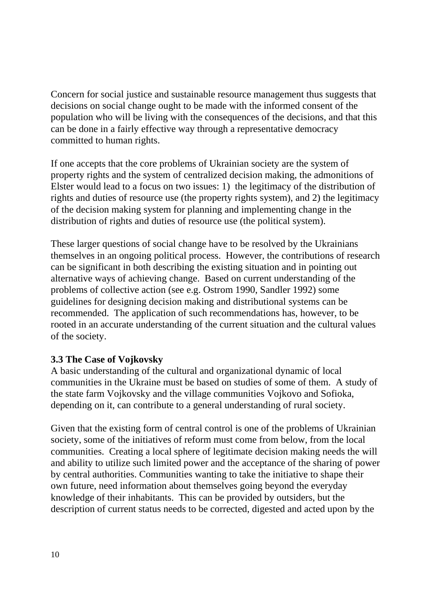Concern for social justice and sustainable resource management thus suggests that decisions on social change ought to be made with the informed consent of the population who will be living with the consequences of the decisions, and that this can be done in a fairly effective way through a representative democracy committed to human rights.

If one accepts that the core problems of Ukrainian society are the system of property rights and the system of centralized decision making, the admonitions of Elster would lead to a focus on two issues: 1) the legitimacy of the distribution of rights and duties of resource use (the property rights system), and 2) the legitimacy of the decision making system for planning and implementing change in the distribution of rights and duties of resource use (the political system).

These larger questions of social change have to be resolved by the Ukrainians themselves in an ongoing political process. However, the contributions of research can be significant in both describing the existing situation and in pointing out alternative ways of achieving change. Based on current understanding of the problems of collective action (see e.g. Ostrom 1990, Sandler 1992) some guidelines for designing decision making and distributional systems can be recommended. The application of such recommendations has, however, to be rooted in an accurate understanding of the current situation and the cultural values of the society.

#### **3.3 The Case of Vojkovsky**

A basic understanding of the cultural and organizational dynamic of local communities in the Ukraine must be based on studies of some of them. A study of the state farm Vojkovsky and the village communities Vojkovo and Sofioka, depending on it, can contribute to a general understanding of rural society.

Given that the existing form of central control is one of the problems of Ukrainian society, some of the initiatives of reform must come from below, from the local communities. Creating a local sphere of legitimate decision making needs the will and ability to utilize such limited power and the acceptance of the sharing of power by central authorities. Communities wanting to take the initiative to shape their own future, need information about themselves going beyond the everyday knowledge of their inhabitants. This can be provided by outsiders, but the description of current status needs to be corrected, digested and acted upon by the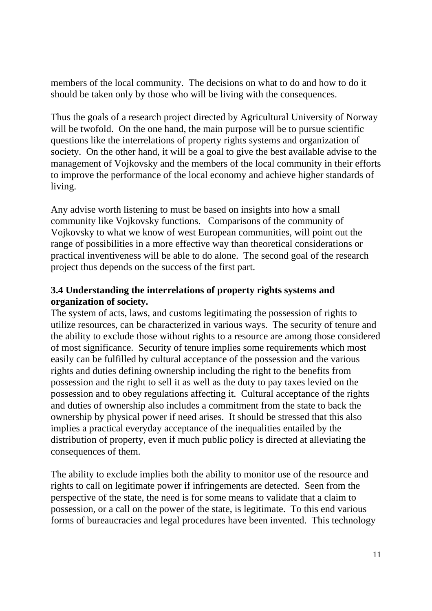members of the local community. The decisions on what to do and how to do it should be taken only by those who will be living with the consequences.

Thus the goals of a research project directed by Agricultural University of Norway will be twofold. On the one hand, the main purpose will be to pursue scientific questions like the interrelations of property rights systems and organization of society. On the other hand, it will be a goal to give the best available advise to the management of Vojkovsky and the members of the local community in their efforts to improve the performance of the local economy and achieve higher standards of living.

Any advise worth listening to must be based on insights into how a small community like Vojkovsky functions. Comparisons of the community of Vojkovsky to what we know of west European communities, will point out the range of possibilities in a more effective way than theoretical considerations or practical inventiveness will be able to do alone. The second goal of the research project thus depends on the success of the first part.

### **3.4 Understanding the interrelations of property rights systems and organization of society.**

The system of acts, laws, and customs legitimating the possession of rights to utilize resources, can be characterized in various ways. The security of tenure and the ability to exclude those without rights to a resource are among those considered of most significance. Security of tenure implies some requirements which most easily can be fulfilled by cultural acceptance of the possession and the various rights and duties defining ownership including the right to the benefits from possession and the right to sell it as well as the duty to pay taxes levied on the possession and to obey regulations affecting it. Cultural acceptance of the rights and duties of ownership also includes a commitment from the state to back the ownership by physical power if need arises. It should be stressed that this also implies a practical everyday acceptance of the inequalities entailed by the distribution of property, even if much public policy is directed at alleviating the consequences of them.

The ability to exclude implies both the ability to monitor use of the resource and rights to call on legitimate power if infringements are detected. Seen from the perspective of the state, the need is for some means to validate that a claim to possession, or a call on the power of the state, is legitimate. To this end various forms of bureaucracies and legal procedures have been invented. This technology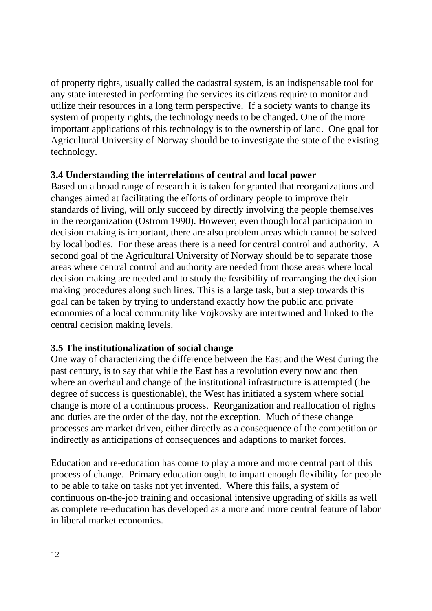of property rights, usually called the cadastral system, is an indispensable tool for any state interested in performing the services its citizens require to monitor and utilize their resources in a long term perspective. If a society wants to change its system of property rights, the technology needs to be changed. One of the more important applications of this technology is to the ownership of land. One goal for Agricultural University of Norway should be to investigate the state of the existing technology.

#### **3.4 Understanding the interrelations of central and local power**

Based on a broad range of research it is taken for granted that reorganizations and changes aimed at facilitating the efforts of ordinary people to improve their standards of living, will only succeed by directly involving the people themselves in the reorganization (Ostrom 1990). However, even though local participation in decision making is important, there are also problem areas which cannot be solved by local bodies. For these areas there is a need for central control and authority. A second goal of the Agricultural University of Norway should be to separate those areas where central control and authority are needed from those areas where local decision making are needed and to study the feasibility of rearranging the decision making procedures along such lines. This is a large task, but a step towards this goal can be taken by trying to understand exactly how the public and private economies of a local community like Vojkovsky are intertwined and linked to the central decision making levels.

#### **3.5 The institutionalization of social change**

One way of characterizing the difference between the East and the West during the past century, is to say that while the East has a revolution every now and then where an overhaul and change of the institutional infrastructure is attempted (the degree of success is questionable), the West has initiated a system where social change is more of a continuous process. Reorganization and reallocation of rights and duties are the order of the day, not the exception. Much of these change processes are market driven, either directly as a consequence of the competition or indirectly as anticipations of consequences and adaptions to market forces.

Education and re-education has come to play a more and more central part of this process of change. Primary education ought to impart enough flexibility for people to be able to take on tasks not yet invented. Where this fails, a system of continuous on-the-job training and occasional intensive upgrading of skills as well as complete re-education has developed as a more and more central feature of labor in liberal market economies.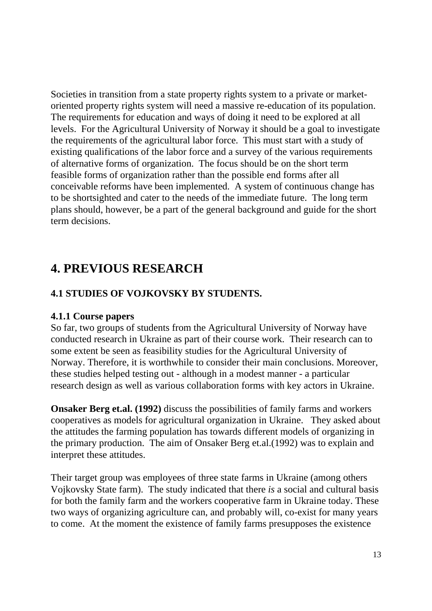Societies in transition from a state property rights system to a private or marketoriented property rights system will need a massive re-education of its population. The requirements for education and ways of doing it need to be explored at all levels. For the Agricultural University of Norway it should be a goal to investigate the requirements of the agricultural labor force. This must start with a study of existing qualifications of the labor force and a survey of the various requirements of alternative forms of organization. The focus should be on the short term feasible forms of organization rather than the possible end forms after all conceivable reforms have been implemented. A system of continuous change has to be shortsighted and cater to the needs of the immediate future. The long term plans should, however, be a part of the general background and guide for the short term decisions.

## **4. PREVIOUS RESEARCH**

## **4.1 STUDIES OF VOJKOVSKY BY STUDENTS.**

#### **4.1.1 Course papers**

So far, two groups of students from the Agricultural University of Norway have conducted research in Ukraine as part of their course work. Their research can to some extent be seen as feasibility studies for the Agricultural University of Norway. Therefore, it is worthwhile to consider their main conclusions. Moreover, these studies helped testing out - although in a modest manner - a particular research design as well as various collaboration forms with key actors in Ukraine.

**Onsaker Berg et.al. (1992)** discuss the possibilities of family farms and workers cooperatives as models for agricultural organization in Ukraine. They asked about the attitudes the farming population has towards different models of organizing in the primary production. The aim of Onsaker Berg et.al.(1992) was to explain and interpret these attitudes.

Their target group was employees of three state farms in Ukraine (among others Vojkovsky State farm). The study indicated that there *is* a social and cultural basis for both the family farm and the workers cooperative farm in Ukraine today. These two ways of organizing agriculture can, and probably will, co-exist for many years to come. At the moment the existence of family farms presupposes the existence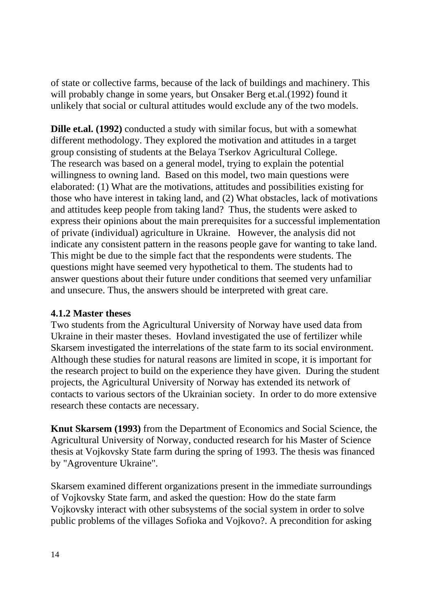of state or collective farms, because of the lack of buildings and machinery. This will probably change in some years, but Onsaker Berg et.al.(1992) found it unlikely that social or cultural attitudes would exclude any of the two models.

**Dille et.al. (1992)** conducted a study with similar focus, but with a somewhat different methodology. They explored the motivation and attitudes in a target group consisting of students at the Belaya Tserkov Agricultural College. The research was based on a general model, trying to explain the potential willingness to owning land. Based on this model, two main questions were elaborated: (1) What are the motivations, attitudes and possibilities existing for those who have interest in taking land, and (2) What obstacles, lack of motivations and attitudes keep people from taking land? Thus, the students were asked to express their opinions about the main prerequisites for a successful implementation of private (individual) agriculture in Ukraine. However, the analysis did not indicate any consistent pattern in the reasons people gave for wanting to take land. This might be due to the simple fact that the respondents were students. The questions might have seemed very hypothetical to them. The students had to answer questions about their future under conditions that seemed very unfamiliar and unsecure. Thus, the answers should be interpreted with great care.

#### **4.1.2 Master theses**

Two students from the Agricultural University of Norway have used data from Ukraine in their master theses. Hovland investigated the use of fertilizer while Skarsem investigated the interrelations of the state farm to its social environment. Although these studies for natural reasons are limited in scope, it is important for the research project to build on the experience they have given. During the student projects, the Agricultural University of Norway has extended its network of contacts to various sectors of the Ukrainian society. In order to do more extensive research these contacts are necessary.

**Knut Skarsem (1993)** from the Department of Economics and Social Science, the Agricultural University of Norway, conducted research for his Master of Science thesis at Vojkovsky State farm during the spring of 1993. The thesis was financed by "Agroventure Ukraine".

Skarsem examined different organizations present in the immediate surroundings of Vojkovsky State farm, and asked the question: How do the state farm Vojkovsky interact with other subsystems of the social system in order to solve public problems of the villages Sofioka and Vojkovo?. A precondition for asking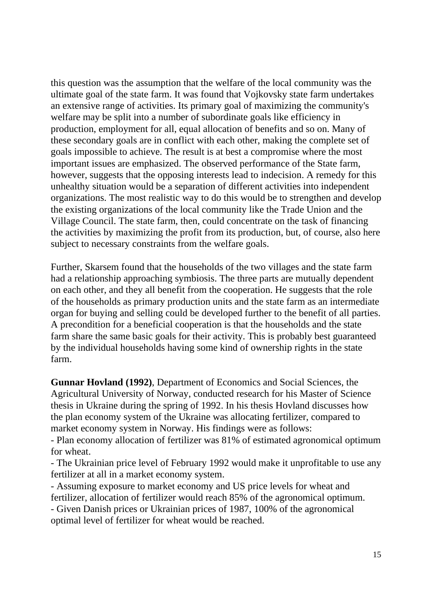this question was the assumption that the welfare of the local community was the ultimate goal of the state farm. It was found that Vojkovsky state farm undertakes an extensive range of activities. Its primary goal of maximizing the community's welfare may be split into a number of subordinate goals like efficiency in production, employment for all, equal allocation of benefits and so on. Many of these secondary goals are in conflict with each other, making the complete set of goals impossible to achieve. The result is at best a compromise where the most important issues are emphasized. The observed performance of the State farm, however, suggests that the opposing interests lead to indecision. A remedy for this unhealthy situation would be a separation of different activities into independent organizations. The most realistic way to do this would be to strengthen and develop the existing organizations of the local community like the Trade Union and the Village Council. The state farm, then, could concentrate on the task of financing the activities by maximizing the profit from its production, but, of course, also here subject to necessary constraints from the welfare goals.

Further, Skarsem found that the households of the two villages and the state farm had a relationship approaching symbiosis. The three parts are mutually dependent on each other, and they all benefit from the cooperation. He suggests that the role of the households as primary production units and the state farm as an intermediate organ for buying and selling could be developed further to the benefit of all parties. A precondition for a beneficial cooperation is that the households and the state farm share the same basic goals for their activity. This is probably best guaranteed by the individual households having some kind of ownership rights in the state farm.

**Gunnar Hovland (1992)**, Department of Economics and Social Sciences, the Agricultural University of Norway, conducted research for his Master of Science thesis in Ukraine during the spring of 1992. In his thesis Hovland discusses how the plan economy system of the Ukraine was allocating fertilizer, compared to market economy system in Norway. His findings were as follows:

- Plan economy allocation of fertilizer was 81% of estimated agronomical optimum for wheat.

- The Ukrainian price level of February 1992 would make it unprofitable to use any fertilizer at all in a market economy system.

- Assuming exposure to market economy and US price levels for wheat and fertilizer, allocation of fertilizer would reach 85% of the agronomical optimum. - Given Danish prices or Ukrainian prices of 1987, 100% of the agronomical optimal level of fertilizer for wheat would be reached.

15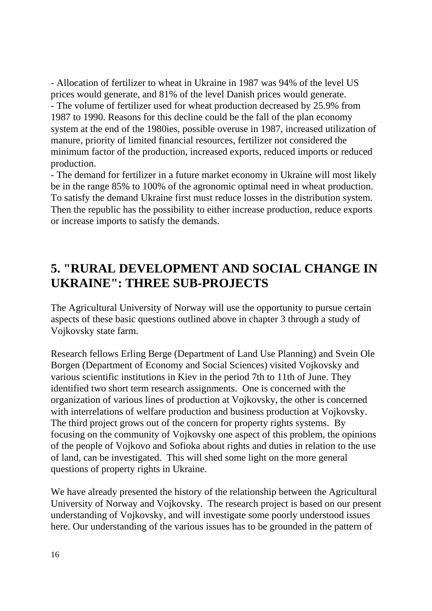- Allocation of fertilizer to wheat in Ukraine in 1987 was 94% of the level US prices would generate, and 81% of the level Danish prices would generate. - The volume of fertilizer used for wheat production decreased by 25.9% from 1987 to 1990. Reasons for this decline could be the fall of the plan economy system at the end of the 1980ies, possible overuse in 1987, increased utilization of manure, priority of limited financial resources, fertilizer not considered the minimum factor of the production, increased exports, reduced imports or reduced production.

- The demand for fertilizer in a future market economy in Ukraine will most likely be in the range 85% to 100% of the agronomic optimal need in wheat production. To satisfy the demand Ukraine first must reduce losses in the distribution system. Then the republic has the possibility to either increase production, reduce exports or increase imports to satisfy the demands.

## **5. "RURAL DEVELOPMENT AND SOCIAL CHANGE IN UKRAINE": THREE SUB-PROJECTS**

The Agricultural University of Norway will use the opportunity to pursue certain aspects of these basic questions outlined above in chapter 3 through a study of Vojkovsky state farm.

Research fellows Erling Berge (Department of Land Use Planning) and Svein Ole Borgen (Department of Economy and Social Sciences) visited Vojkovsky and various scientific institutions in Kiev in the period 7th to 11th of June. They identified two short term research assignments. One is concerned with the organization of various lines of production at Vojkovsky, the other is concerned with interrelations of welfare production and business production at Vojkovsky. The third project grows out of the concern for property rights systems. By focusing on the community of Vojkovsky one aspect of this problem, the opinions of the people of Vojkovo and Sofioka about rights and duties in relation to the use of land, can be investigated. This will shed some light on the more general questions of property rights in Ukraine.

We have already presented the history of the relationship between the Agricultural University of Norway and Vojkovsky. The research project is based on our present understanding of Vojkovsky, and will investigate some poorly understood issues here. Our understanding of the various issues has to be grounded in the pattern of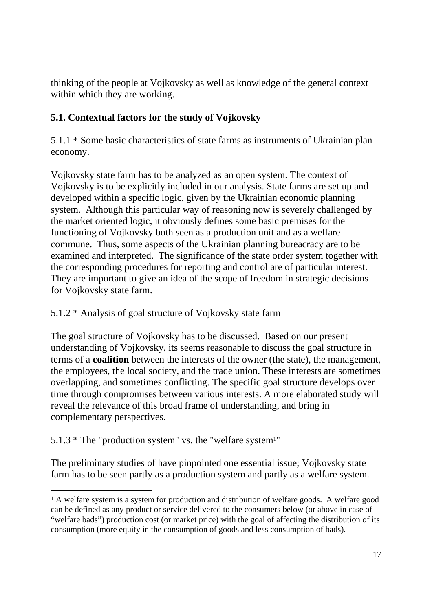thinking of the people at Vojkovsky as well as knowledge of the general context within which they are working.

## **5.1. Contextual factors for the study of Vojkovsky**

5.1.1 \* Some basic characteristics of state farms as instruments of Ukrainian plan economy.

Vojkovsky state farm has to be analyzed as an open system. The context of Vojkovsky is to be explicitly included in our analysis. State farms are set up and developed within a specific logic, given by the Ukrainian economic planning system. Although this particular way of reasoning now is severely challenged by the market oriented logic, it obviously defines some basic premises for the functioning of Vojkovsky both seen as a production unit and as a welfare commune. Thus, some aspects of the Ukrainian planning bureacracy are to be examined and interpreted. The significance of the state order system together with the corresponding procedures for reporting and control are of particular interest. They are important to give an idea of the scope of freedom in strategic decisions for Vojkovsky state farm.

## 5.1.2 \* Analysis of goal structure of Vojkovsky state farm

The goal structure of Vojkovsky has to be discussed. Based on our present understanding of Vojkovsky, its seems reasonable to discuss the goal structure in terms of a **coalition** between the interests of the owner (the state), the management, the employees, the local society, and the trade union. These interests are sometimes overlapping, and sometimes conflicting. The specific goal structure develops over time through compromises between various interests. A more elaborated study will reveal the relevance of this broad frame of understanding, and bring in complementary perspectives.

## 5.1.3 \* The "production system" vs. the "welfare system1"

1

The preliminary studies of have pinpointed one essential issue; Vojkovsky state farm has to be seen partly as a production system and partly as a welfare system.

<sup>&</sup>lt;sup>1</sup> A welfare system is a system for production and distribution of welfare goods. A welfare good can be defined as any product or service delivered to the consumers below (or above in case of "welfare bads") production cost (or market price) with the goal of affecting the distribution of its consumption (more equity in the consumption of goods and less consumption of bads).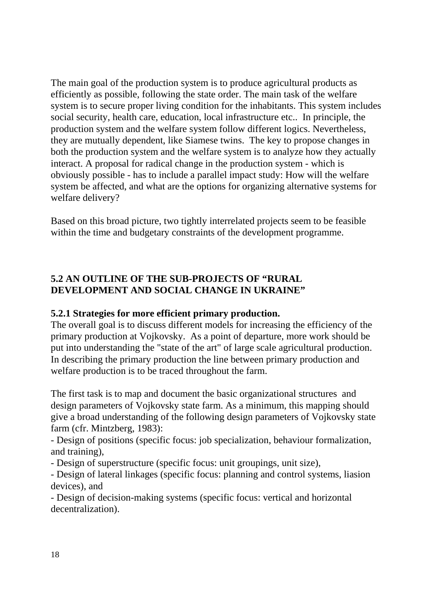The main goal of the production system is to produce agricultural products as efficiently as possible, following the state order. The main task of the welfare system is to secure proper living condition for the inhabitants. This system includes social security, health care, education, local infrastructure etc.. In principle, the production system and the welfare system follow different logics. Nevertheless, they are mutually dependent, like Siamese twins. The key to propose changes in both the production system and the welfare system is to analyze how they actually interact. A proposal for radical change in the production system - which is obviously possible - has to include a parallel impact study: How will the welfare system be affected, and what are the options for organizing alternative systems for welfare delivery?

Based on this broad picture, two tightly interrelated projects seem to be feasible within the time and budgetary constraints of the development programme.

#### **5.2 AN OUTLINE OF THE SUB-PROJECTS OF "RURAL DEVELOPMENT AND SOCIAL CHANGE IN UKRAINE"**

#### **5.2.1 Strategies for more efficient primary production.**

The overall goal is to discuss different models for increasing the efficiency of the primary production at Vojkovsky. As a point of departure, more work should be put into understanding the "state of the art" of large scale agricultural production. In describing the primary production the line between primary production and welfare production is to be traced throughout the farm.

The first task is to map and document the basic organizational structures and design parameters of Vojkovsky state farm. As a minimum, this mapping should give a broad understanding of the following design parameters of Vojkovsky state farm (cfr. Mintzberg, 1983):

- Design of positions (specific focus: job specialization, behaviour formalization, and training),

- Design of superstructure (specific focus: unit groupings, unit size),

- Design of lateral linkages (specific focus: planning and control systems, liasion devices), and

- Design of decision-making systems (specific focus: vertical and horizontal decentralization).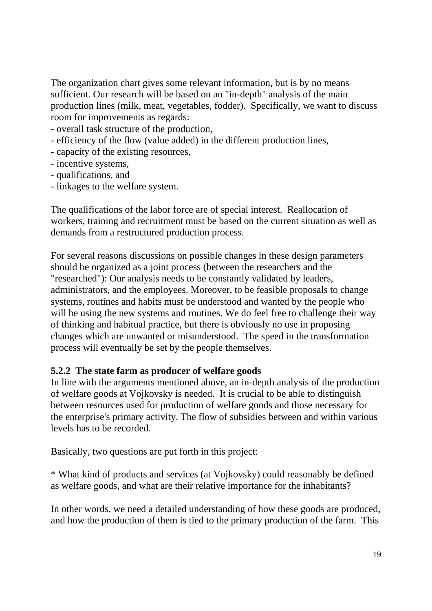The organization chart gives some relevant information, but is by no means sufficient. Our research will be based on an "in-depth" analysis of the main production lines (milk, meat, vegetables, fodder). Specifically, we want to discuss room for improvements as regards:

- overall task structure of the production,
- efficiency of the flow (value added) in the different production lines,
- capacity of the existing resources,
- incentive systems,
- qualifications, and
- linkages to the welfare system.

The qualifications of the labor force are of special interest. Reallocation of workers, training and recruitment must be based on the current situation as well as demands from a restructured production process.

For several reasons discussions on possible changes in these design parameters should be organized as a joint process (between the researchers and the "researched"): Our analysis needs to be constantly validated by leaders, administrators, and the employees. Moreover, to be feasible proposals to change systems, routines and habits must be understood and wanted by the people who will be using the new systems and routines. We do feel free to challenge their way of thinking and habitual practice, but there is obviously no use in proposing changes which are unwanted or misunderstood. The speed in the transformation process will eventually be set by the people themselves.

#### **5.2.2 The state farm as producer of welfare goods**

In line with the arguments mentioned above, an in-depth analysis of the production of welfare goods at Vojkovsky is needed. It is crucial to be able to distinguish between resources used for production of welfare goods and those necessary for the enterprise's primary activity. The flow of subsidies between and within various levels has to be recorded.

Basically, two questions are put forth in this project:

\* What kind of products and services (at Vojkovsky) could reasonably be defined as welfare goods, and what are their relative importance for the inhabitants?

In other words, we need a detailed understanding of how these goods are produced, and how the production of them is tied to the primary production of the farm. This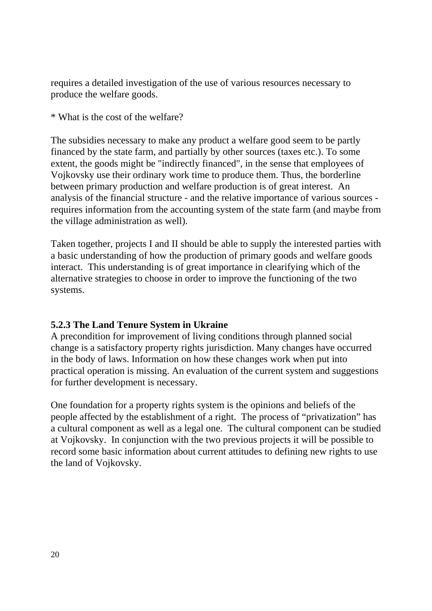requires a detailed investigation of the use of various resources necessary to produce the welfare goods.

\* What is the cost of the welfare?

The subsidies necessary to make any product a welfare good seem to be partly financed by the state farm, and partially by other sources (taxes etc.). To some extent, the goods might be "indirectly financed", in the sense that employees of Vojkovsky use their ordinary work time to produce them. Thus, the borderline between primary production and welfare production is of great interest. An analysis of the financial structure - and the relative importance of various sources requires information from the accounting system of the state farm (and maybe from the village administration as well).

Taken together, projects I and II should be able to supply the interested parties with a basic understanding of how the production of primary goods and welfare goods interact. This understanding is of great importance in clearifying which of the alternative strategies to choose in order to improve the functioning of the two systems.

#### **5.2.3 The Land Tenure System in Ukraine**

A precondition for improvement of living conditions through planned social change is a satisfactory property rights jurisdiction. Many changes have occurred in the body of laws. Information on how these changes work when put into practical operation is missing. An evaluation of the current system and suggestions for further development is necessary.

One foundation for a property rights system is the opinions and beliefs of the people affected by the establishment of a right. The process of "privatization" has a cultural component as well as a legal one. The cultural component can be studied at Vojkovsky. In conjunction with the two previous projects it will be possible to record some basic information about current attitudes to defining new rights to use the land of Vojkovsky.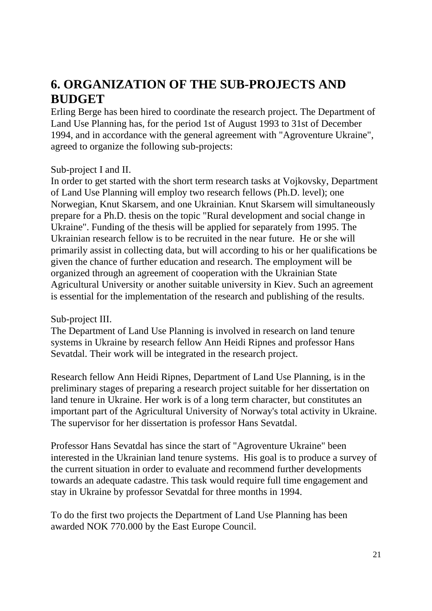## **6. ORGANIZATION OF THE SUB-PROJECTS AND BUDGET**

Erling Berge has been hired to coordinate the research project. The Department of Land Use Planning has, for the period 1st of August 1993 to 31st of December 1994, and in accordance with the general agreement with "Agroventure Ukraine", agreed to organize the following sub-projects:

#### Sub-project I and II.

In order to get started with the short term research tasks at Vojkovsky, Department of Land Use Planning will employ two research fellows (Ph.D. level); one Norwegian, Knut Skarsem, and one Ukrainian. Knut Skarsem will simultaneously prepare for a Ph.D. thesis on the topic "Rural development and social change in Ukraine". Funding of the thesis will be applied for separately from 1995. The Ukrainian research fellow is to be recruited in the near future. He or she will primarily assist in collecting data, but will according to his or her qualifications be given the chance of further education and research. The employment will be organized through an agreement of cooperation with the Ukrainian State Agricultural University or another suitable university in Kiev. Such an agreement is essential for the implementation of the research and publishing of the results.

#### Sub-project III.

The Department of Land Use Planning is involved in research on land tenure systems in Ukraine by research fellow Ann Heidi Ripnes and professor Hans Sevatdal. Their work will be integrated in the research project.

Research fellow Ann Heidi Ripnes, Department of Land Use Planning, is in the preliminary stages of preparing a research project suitable for her dissertation on land tenure in Ukraine. Her work is of a long term character, but constitutes an important part of the Agricultural University of Norway's total activity in Ukraine. The supervisor for her dissertation is professor Hans Sevatdal.

Professor Hans Sevatdal has since the start of "Agroventure Ukraine" been interested in the Ukrainian land tenure systems. His goal is to produce a survey of the current situation in order to evaluate and recommend further developments towards an adequate cadastre. This task would require full time engagement and stay in Ukraine by professor Sevatdal for three months in 1994.

To do the first two projects the Department of Land Use Planning has been awarded NOK 770.000 by the East Europe Council.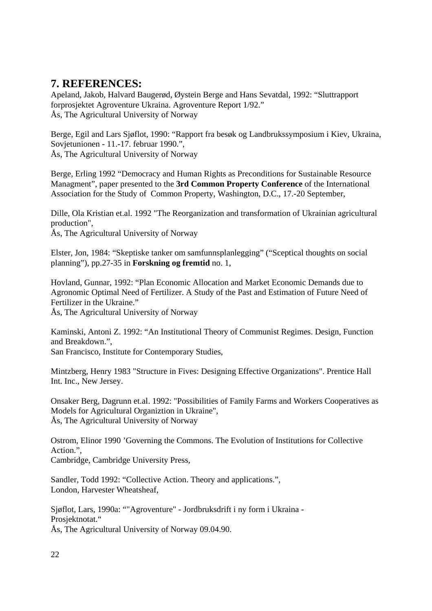## **7. REFERENCES:**

Apeland, Jakob, Halvard Baugerød, Øystein Berge and Hans Sevatdal, 1992: "Sluttrapport forprosjektet Agroventure Ukraina. Agroventure Report 1/92." Ås, The Agricultural University of Norway

Berge, Egil and Lars Sjøflot, 1990: "Rapport fra besøk og Landbrukssymposium i Kiev, Ukraina, Sovjetunionen - 11.-17. februar 1990.", Ås, The Agricultural University of Norway

Berge, Erling 1992 "Democracy and Human Rights as Preconditions for Sustainable Resource Managment", paper presented to the **3rd Common Property Conference** of the International Association for the Study of Common Property, Washington, D.C., 17.-20 September,

Dille, Ola Kristian et.al. 1992 "The Reorganization and transformation of Ukrainian agricultural production",

Ås, The Agricultural University of Norway

Elster, Jon, 1984: "Skeptiske tanker om samfunnsplanlegging" ("Sceptical thoughts on social planning"), pp.27-35 in **Forskning og fremtid** no. 1,

Hovland, Gunnar, 1992: "Plan Economic Allocation and Market Economic Demands due to Agronomic Optimal Need of Fertilizer. A Study of the Past and Estimation of Future Need of Fertilizer in the Ukraine."

Ås, The Agricultural University of Norway

Kaminski, Antoni Z. 1992: "An Institutional Theory of Communist Regimes. Design, Function and Breakdown.",

San Francisco, Institute for Contemporary Studies,

Mintzberg, Henry 1983 "Structure in Fives: Designing Effective Organizations". Prentice Hall Int. Inc., New Jersey.

Onsaker Berg, Dagrunn et.al. 1992: "Possibilities of Family Farms and Workers Cooperatives as Models for Agricultural Organiztion in Ukraine", Ås, The Agricultural University of Norway

Ostrom, Elinor 1990 'Governing the Commons. The Evolution of Institutions for Collective Action.", Cambridge, Cambridge University Press,

Sandler, Todd 1992: "Collective Action. Theory and applications.", London, Harvester Wheatsheaf,

Sjøflot, Lars, 1990a: ""Agroventure" - Jordbruksdrift i ny form i Ukraina - Prosjektnotat." Ås, The Agricultural University of Norway 09.04.90.